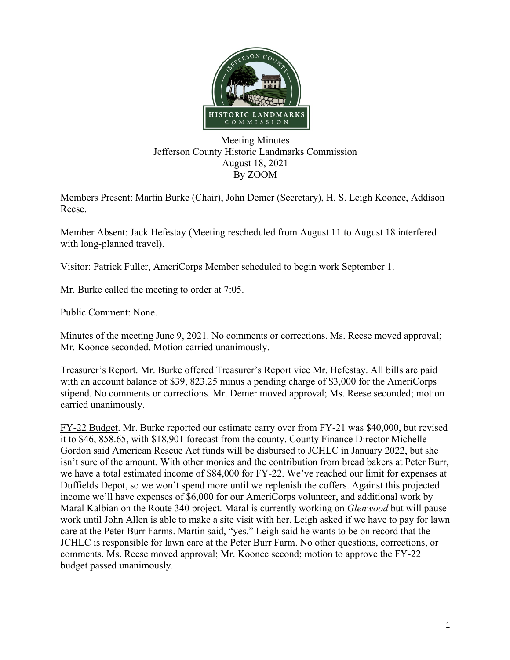

## Meeting Minutes Jefferson County Historic Landmarks Commission August 18, 2021 By ZOOM

Members Present: Martin Burke (Chair), John Demer (Secretary), H. S. Leigh Koonce, Addison Reese.

Member Absent: Jack Hefestay (Meeting rescheduled from August 11 to August 18 interfered with long-planned travel).

Visitor: Patrick Fuller, AmeriCorps Member scheduled to begin work September 1.

Mr. Burke called the meeting to order at 7:05.

Public Comment: None.

Minutes of the meeting June 9, 2021. No comments or corrections. Ms. Reese moved approval; Mr. Koonce seconded. Motion carried unanimously.

Treasurer's Report. Mr. Burke offered Treasurer's Report vice Mr. Hefestay. All bills are paid with an account balance of \$39, 823.25 minus a pending charge of \$3,000 for the AmeriCorps stipend. No comments or corrections. Mr. Demer moved approval; Ms. Reese seconded; motion carried unanimously.

FY-22 Budget. Mr. Burke reported our estimate carry over from FY-21 was \$40,000, but revised it to \$46, 858.65, with \$18,901 forecast from the county. County Finance Director Michelle Gordon said American Rescue Act funds will be disbursed to JCHLC in January 2022, but she isn't sure of the amount. With other monies and the contribution from bread bakers at Peter Burr, we have a total estimated income of \$84,000 for FY-22. We've reached our limit for expenses at Duffields Depot, so we won't spend more until we replenish the coffers. Against this projected income we'll have expenses of \$6,000 for our AmeriCorps volunteer, and additional work by Maral Kalbian on the Route 340 project. Maral is currently working on *Glenwood* but will pause work until John Allen is able to make a site visit with her. Leigh asked if we have to pay for lawn care at the Peter Burr Farms. Martin said, "yes." Leigh said he wants to be on record that the JCHLC is responsible for lawn care at the Peter Burr Farm. No other questions, corrections, or comments. Ms. Reese moved approval; Mr. Koonce second; motion to approve the FY-22 budget passed unanimously.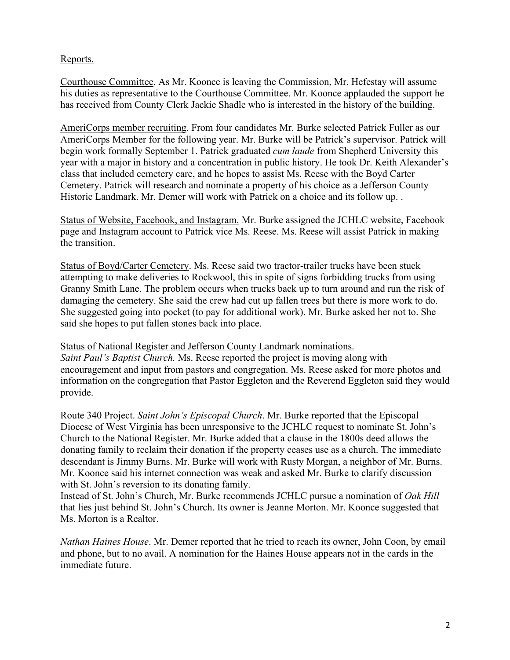## Reports.

Courthouse Committee. As Mr. Koonce is leaving the Commission, Mr. Hefestay will assume his duties as representative to the Courthouse Committee. Mr. Koonce applauded the support he has received from County Clerk Jackie Shadle who is interested in the history of the building.

AmeriCorps member recruiting. From four candidates Mr. Burke selected Patrick Fuller as our AmeriCorps Member for the following year. Mr. Burke will be Patrick's supervisor. Patrick will begin work formally September 1. Patrick graduated *cum laude* from Shepherd University this year with a major in history and a concentration in public history. He took Dr. Keith Alexander's class that included cemetery care, and he hopes to assist Ms. Reese with the Boyd Carter Cemetery. Patrick will research and nominate a property of his choice as a Jefferson County Historic Landmark. Mr. Demer will work with Patrick on a choice and its follow up. .

Status of Website, Facebook, and Instagram. Mr. Burke assigned the JCHLC website, Facebook page and Instagram account to Patrick vice Ms. Reese. Ms. Reese will assist Patrick in making the transition.

Status of Boyd/Carter Cemetery. Ms. Reese said two tractor-trailer trucks have been stuck attempting to make deliveries to Rockwool, this in spite of signs forbidding trucks from using Granny Smith Lane. The problem occurs when trucks back up to turn around and run the risk of damaging the cemetery. She said the crew had cut up fallen trees but there is more work to do. She suggested going into pocket (to pay for additional work). Mr. Burke asked her not to. She said she hopes to put fallen stones back into place.

Status of National Register and Jefferson County Landmark nominations.

*Saint Paul's Baptist Church.* Ms. Reese reported the project is moving along with encouragement and input from pastors and congregation. Ms. Reese asked for more photos and information on the congregation that Pastor Eggleton and the Reverend Eggleton said they would provide.

Route 340 Project. *Saint John's Episcopal Church*. Mr. Burke reported that the Episcopal Diocese of West Virginia has been unresponsive to the JCHLC request to nominate St. John's Church to the National Register. Mr. Burke added that a clause in the 1800s deed allows the donating family to reclaim their donation if the property ceases use as a church. The immediate descendant is Jimmy Burns. Mr. Burke will work with Rusty Morgan, a neighbor of Mr. Burns. Mr. Koonce said his internet connection was weak and asked Mr. Burke to clarify discussion with St. John's reversion to its donating family.

Instead of St. John's Church, Mr. Burke recommends JCHLC pursue a nomination of *Oak Hill* that lies just behind St. John's Church. Its owner is Jeanne Morton. Mr. Koonce suggested that Ms. Morton is a Realtor.

*Nathan Haines House*. Mr. Demer reported that he tried to reach its owner, John Coon, by email and phone, but to no avail. A nomination for the Haines House appears not in the cards in the immediate future.